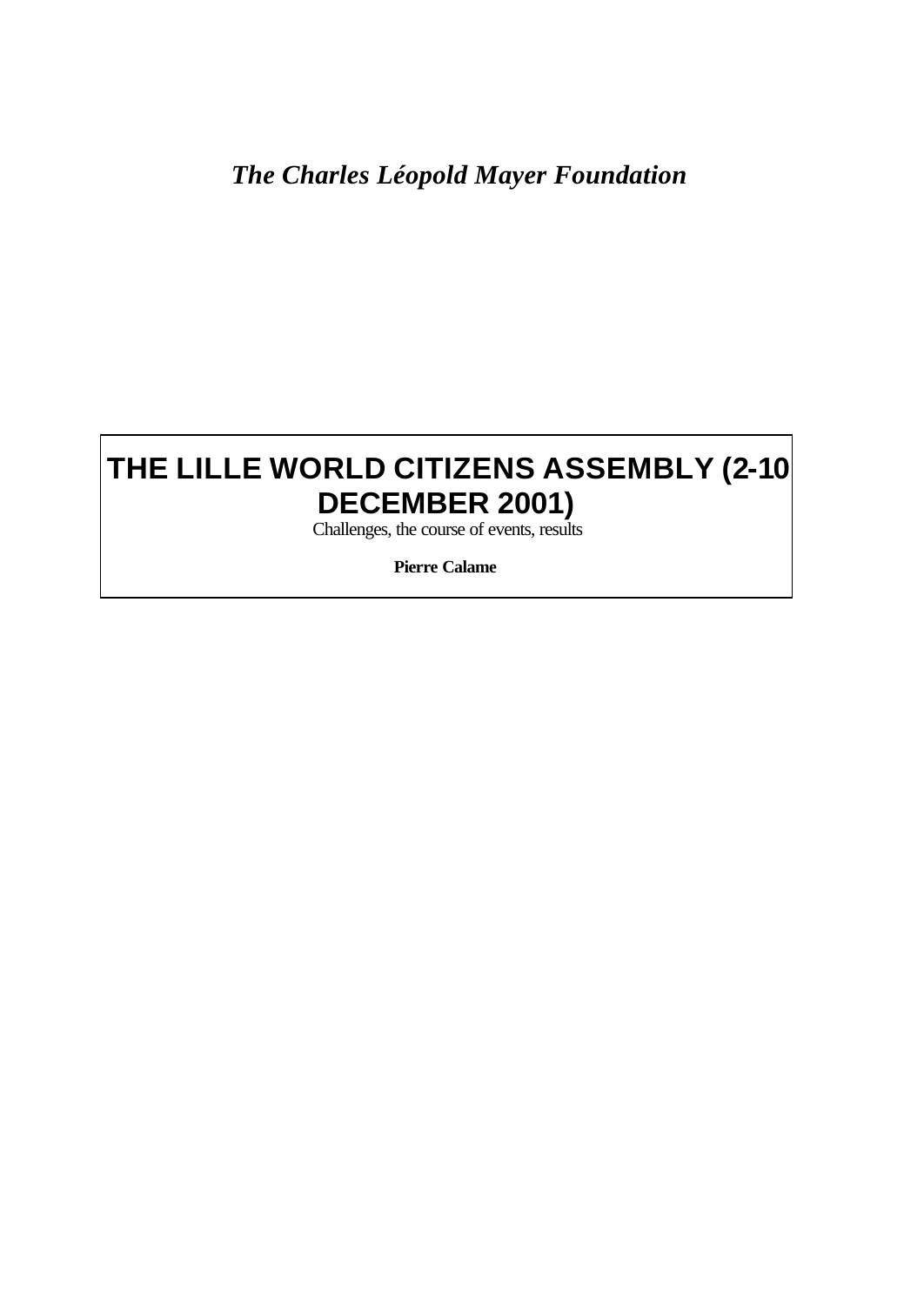# *The Charles Léopold Mayer Foundation*

# **THE LILLE WORLD CITIZENS ASSEMBLY (2-10 DECEMBER 2001)**

Challenges, the course of events, results

**Pierre Calame**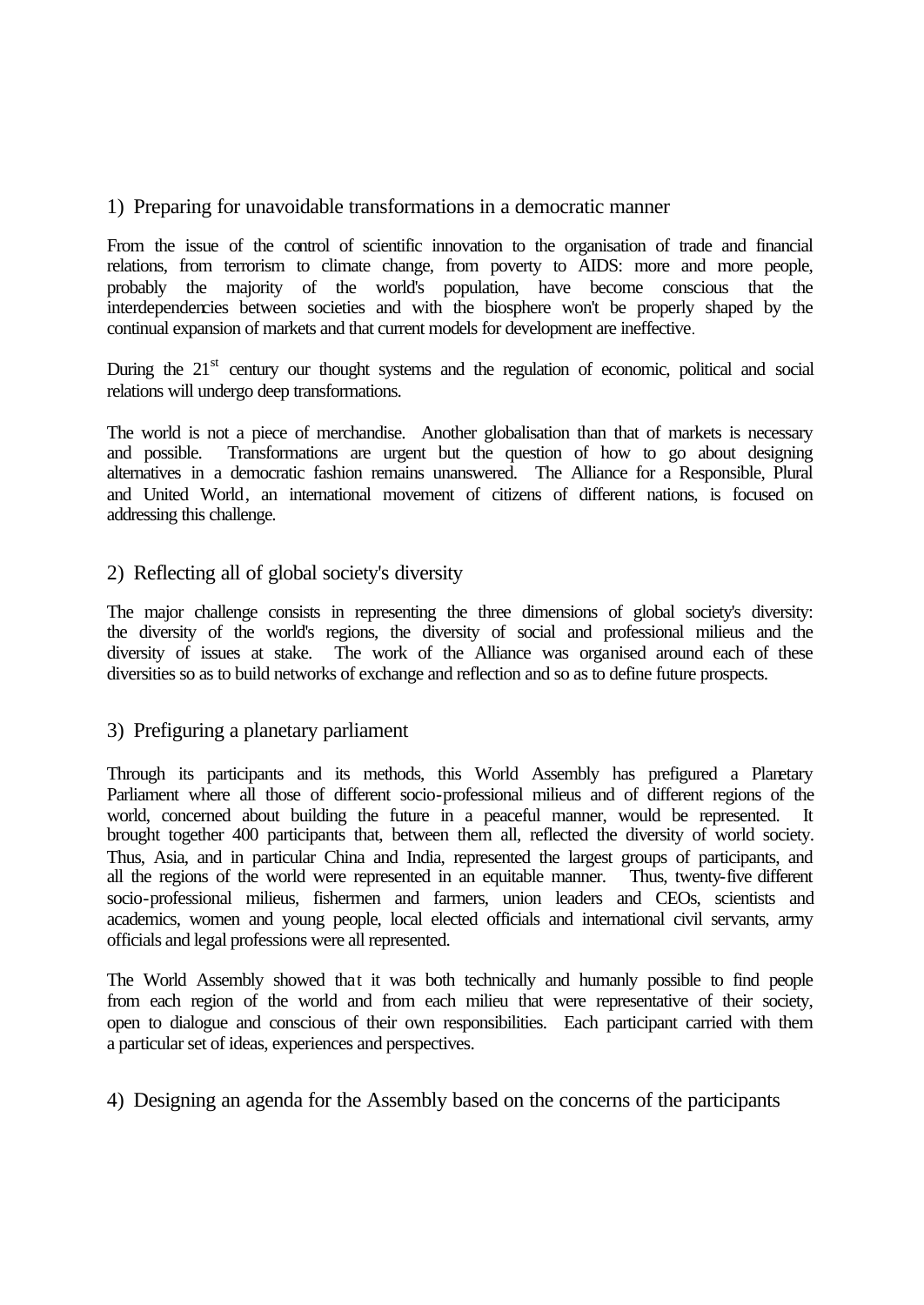# 1) Preparing for unavoidable transformations in a democratic manner

From the issue of the control of scientific innovation to the organisation of trade and financial relations, from terrorism to climate change, from poverty to AIDS: more and more people, probably the majority of the world's population, have become conscious that the interdependencies between societies and with the biosphere won't be properly shaped by the continual expansion of markets and that current models for development are ineffective.

During the  $21<sup>st</sup>$  century our thought systems and the regulation of economic, political and social relations will undergo deep transformations.

The world is not a piece of merchandise. Another globalisation than that of markets is necessary and possible. Transformations are urgent but the question of how to go about designing alternatives in a democratic fashion remains unanswered. The Alliance for a Responsible, Plural and United World, an international movement of citizens of different nations, is focused on addressing this challenge.

#### 2) Reflecting all of global society's diversity

The major challenge consists in representing the three dimensions of global society's diversity: the diversity of the world's regions, the diversity of social and professional milieus and the diversity of issues at stake. The work of the Alliance was organised around each of these diversities so as to build networks of exchange and reflection and so as to define future prospects.

#### 3) Prefiguring a planetary parliament

Through its participants and its methods, this World Assembly has prefigured a Planetary Parliament where all those of different socio-professional milieus and of different regions of the world, concerned about building the future in a peaceful manner, would be represented. It brought together 400 participants that, between them all, reflected the diversity of world society. Thus, Asia, and in particular China and India, represented the largest groups of participants, and all the regions of the world were represented in an equitable manner. Thus, twenty-five different socio-professional milieus, fishermen and farmers, union leaders and CEOs, scientists and academics, women and young people, local elected officials and international civil servants, army officials and legal professions were all represented.

The World Assembly showed that it was both technically and humanly possible to find people from each region of the world and from each milieu that were representative of their society, open to dialogue and conscious of their own responsibilities. Each participant carried with them a particular set of ideas, experiences and perspectives.

4) Designing an agenda for the Assembly based on the concerns of the participants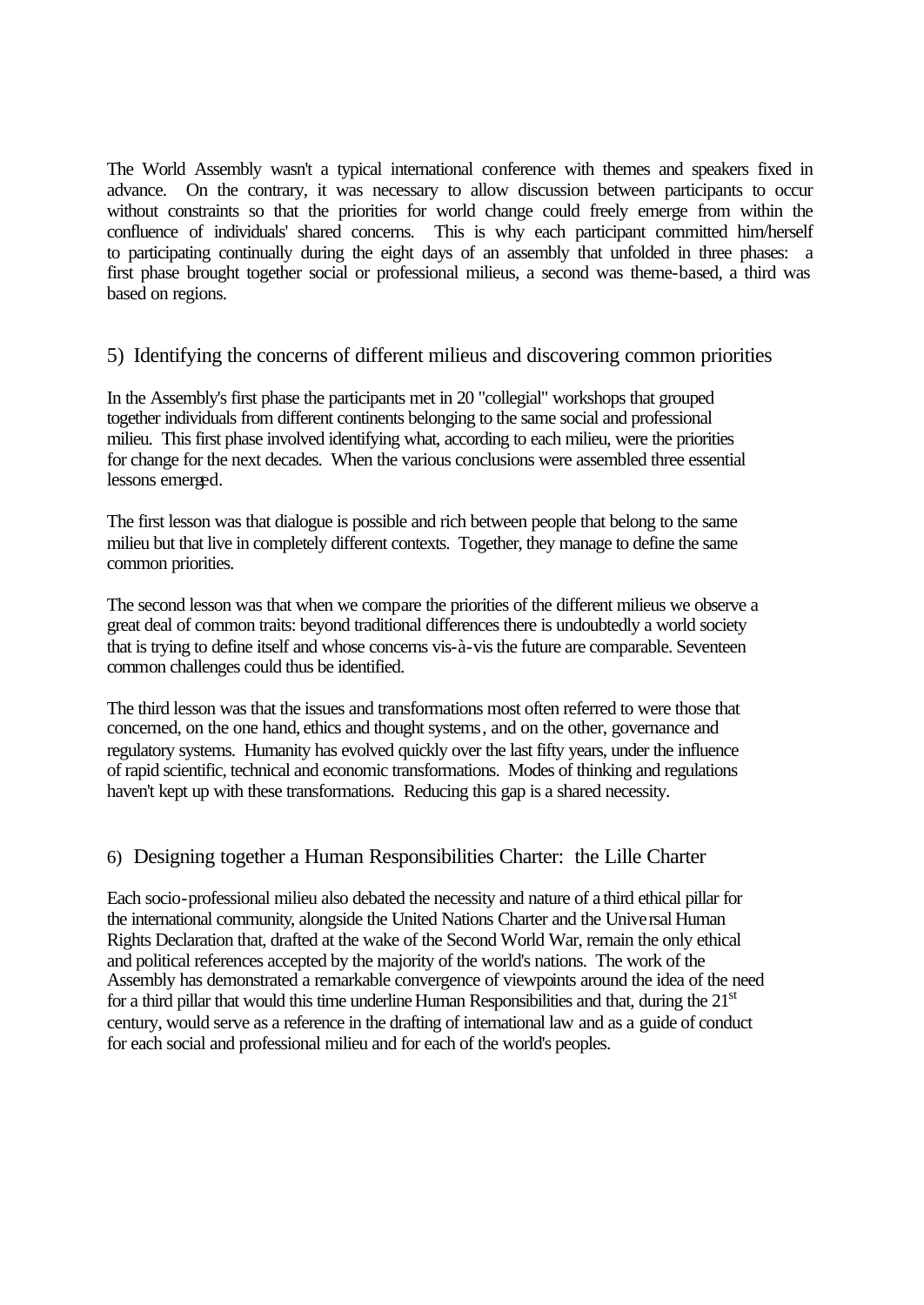The World Assembly wasn't a typical international conference with themes and speakers fixed in advance. On the contrary, it was necessary to allow discussion between participants to occur without constraints so that the priorities for world change could freely emerge from within the confluence of individuals' shared concerns. This is why each participant committed him/herself to participating continually during the eight days of an assembly that unfolded in three phases: a first phase brought together social or professional milieus, a second was theme-based, a third was based on regions.

# 5) Identifying the concerns of different milieus and discovering common priorities

In the Assembly's first phase the participants met in 20 "collegial" workshops that grouped together individuals from different continents belonging to the same social and professional milieu. This first phase involved identifying what, according to each milieu, were the priorities for change for the next decades. When the various conclusions were assembled three essential lessons emerged.

The first lesson was that dialogue is possible and rich between people that belong to the same milieu but that live in completely different contexts. Together, they manage to define the same common priorities.

The second lesson was that when we compare the priorities of the different milieus we observe a great deal of common traits: beyond traditional differences there is undoubtedly a world society that is trying to define itself and whose concerns vis-à-vis the future are comparable. Seventeen common challenges could thus be identified.

The third lesson was that the issues and transformations most often referred to were those that concerned, on the one hand, ethics and thought systems, and on the other, governance and regulatory systems. Humanity has evolved quickly over the last fifty years, under the influence of rapid scientific, technical and economic transformations. Modes of thinking and regulations haven't kept up with these transformations. Reducing this gap is a shared necessity.

# 6) Designing together a Human Responsibilities Charter: the Lille Charter

Each socio-professional milieu also debated the necessity and nature of a third ethical pillar for the international community, alongside the United Nations Charter and the Universal Human Rights Declaration that, drafted at the wake of the Second World War, remain the only ethical and political references accepted by the majority of the world's nations. The work of the Assembly has demonstrated a remarkable convergence of viewpoints around the idea of the need for a third pillar that would this time underline Human Responsibilities and that, during the  $21<sup>st</sup>$ century, would serve as a reference in the drafting of international law and as a guide of conduct for each social and professional milieu and for each of the world's peoples.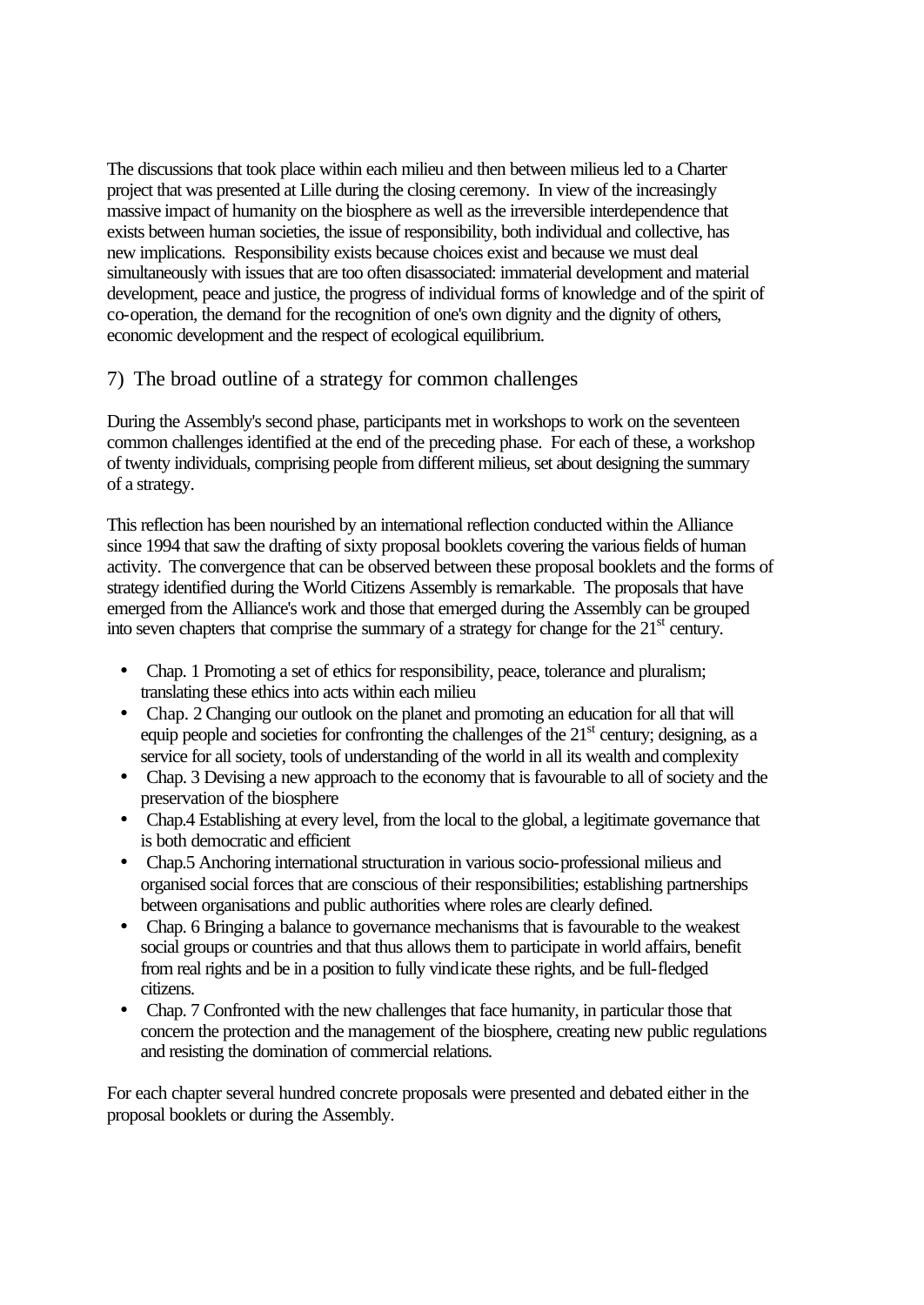The discussions that took place within each milieu and then between milieus led to a Charter project that was presented at Lille during the closing ceremony. In view of the increasingly massive impact of humanity on the biosphere as well as the irreversible interdependence that exists between human societies, the issue of responsibility, both individual and collective, has new implications. Responsibility exists because choices exist and because we must deal simultaneously with issues that are too often disassociated: immaterial development and material development, peace and justice, the progress of individual forms of knowledge and of the spirit of co-operation, the demand for the recognition of one's own dignity and the dignity of others, economic development and the respect of ecological equilibrium.

# 7) The broad outline of a strategy for common challenges

During the Assembly's second phase, participants met in workshops to work on the seventeen common challenges identified at the end of the preceding phase. For each of these, a workshop of twenty individuals, comprising people from different milieus, set about designing the summary of a strategy.

This reflection has been nourished by an international reflection conducted within the Alliance since 1994 that saw the drafting of sixty proposal booklets covering the various fields of human activity. The convergence that can be observed between these proposal booklets and the forms of strategy identified during the World Citizens Assembly is remarkable. The proposals that have emerged from the Alliance's work and those that emerged during the Assembly can be grouped into seven chapters that comprise the summary of a strategy for change for the  $21<sup>st</sup>$  century.

- Chap. 1 Promoting a set of ethics for responsibility, peace, tolerance and pluralism; translating these ethics into acts within each milieu
- Chap. 2 Changing our outlook on the planet and promoting an education for all that will equip people and societies for confronting the challenges of the  $21<sup>st</sup>$  century; designing, as a service for all society, tools of understanding of the world in all its wealth and complexity
- Chap. 3 Devising a new approach to the economy that is favourable to all of society and the preservation of the biosphere
- Chap.4 Establishing at every level, from the local to the global, a legitimate governance that is both democratic and efficient
- Chap.5 Anchoring international structuration in various socio-professional milieus and organised social forces that are conscious of their responsibilities; establishing partnerships between organisations and public authorities where roles are clearly defined.
- Chap. 6 Bringing a balance to governance mechanisms that is favourable to the weakest social groups or countries and that thus allows them to participate in world affairs, benefit from real rights and be in a position to fully vindicate these rights, and be full-fledged citizens.
- Chap. 7 Confronted with the new challenges that face humanity, in particular those that concern the protection and the management of the biosphere, creating new public regulations and resisting the domination of commercial relations.

For each chapter several hundred concrete proposals were presented and debated either in the proposal booklets or during the Assembly.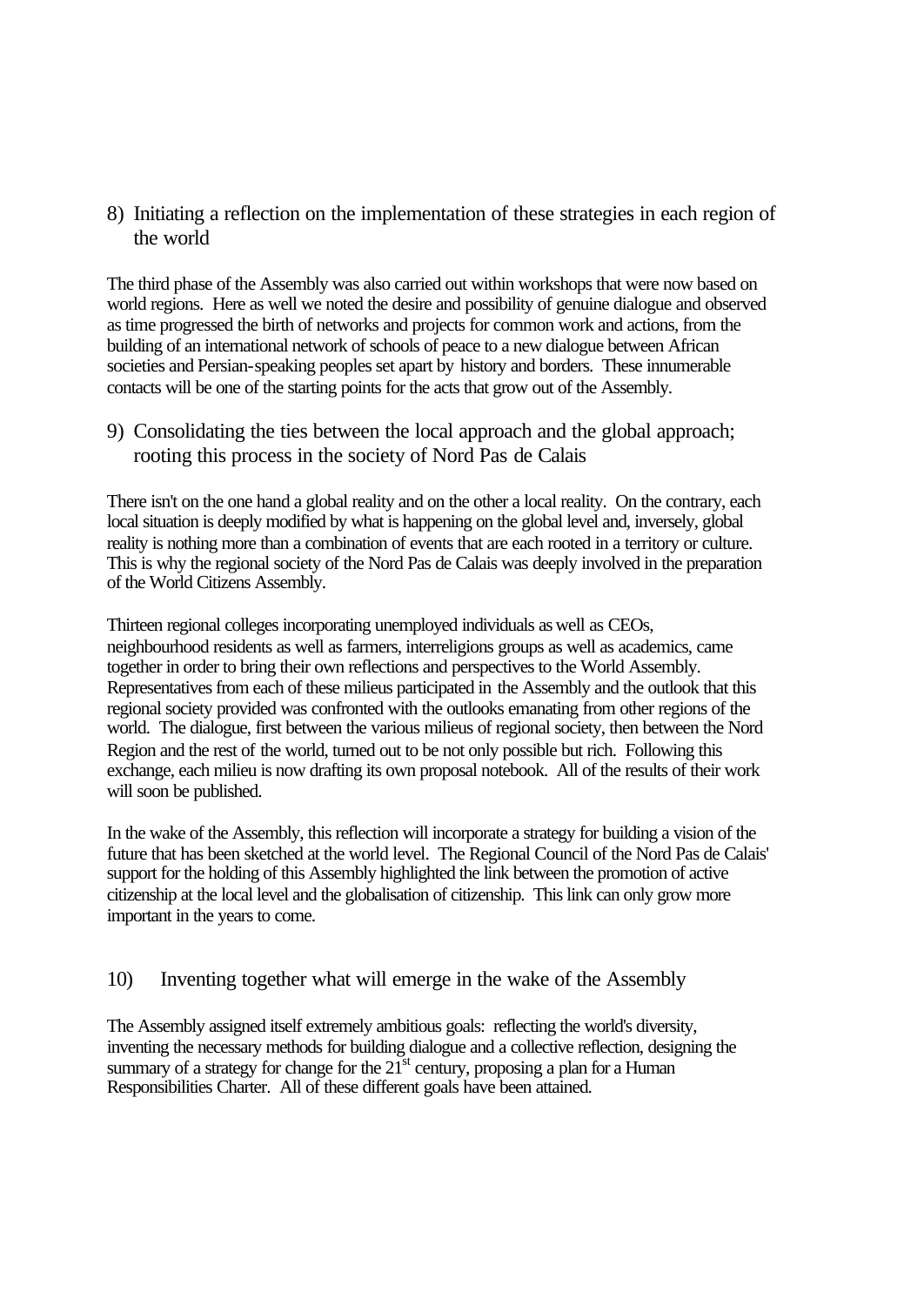8) Initiating a reflection on the implementation of these strategies in each region of the world

The third phase of the Assembly was also carried out within workshops that were now based on world regions. Here as well we noted the desire and possibility of genuine dialogue and observed as time progressed the birth of networks and projects for common work and actions, from the building of an international network of schools of peace to a new dialogue between African societies and Persian-speaking peoples set apart by history and borders. These innumerable contacts will be one of the starting points for the acts that grow out of the Assembly.

9) Consolidating the ties between the local approach and the global approach; rooting this process in the society of Nord Pas de Calais

There isn't on the one hand a global reality and on the other a local reality. On the contrary, each local situation is deeply modified by what is happening on the global level and, inversely, global reality is nothing more than a combination of events that are each rooted in a territory or culture. This is why the regional society of the Nord Pas de Calais was deeply involved in the preparation of the World Citizens Assembly.

Thirteen regional colleges incorporating unemployed individuals as well as CEOs, neighbourhood residents as well as farmers, interreligions groups as well as academics, came together in order to bring their own reflections and perspectives to the World Assembly. Representatives from each of these milieus participated in the Assembly and the outlook that this regional society provided was confronted with the outlooks emanating from other regions of the world. The dialogue, first between the various milieus of regional society, then between the Nord Region and the rest of the world, turned out to be not only possible but rich. Following this exchange, each milieu is now drafting its own proposal notebook. All of the results of their work will soon be published.

In the wake of the Assembly, this reflection will incorporate a strategy for building a vision of the future that has been sketched at the world level. The Regional Council of the Nord Pas de Calais' support for the holding of this Assembly highlighted the link between the promotion of active citizenship at the local level and the globalisation of citizenship. This link can only grow more important in the years to come.

# 10) Inventing together what will emerge in the wake of the Assembly

The Assembly assigned itself extremely ambitious goals: reflecting the world's diversity, inventing the necessary methods for building dialogue and a collective reflection, designing the summary of a strategy for change for the  $21<sup>st</sup>$  century, proposing a plan for a Human Responsibilities Charter. All of these different goals have been attained.